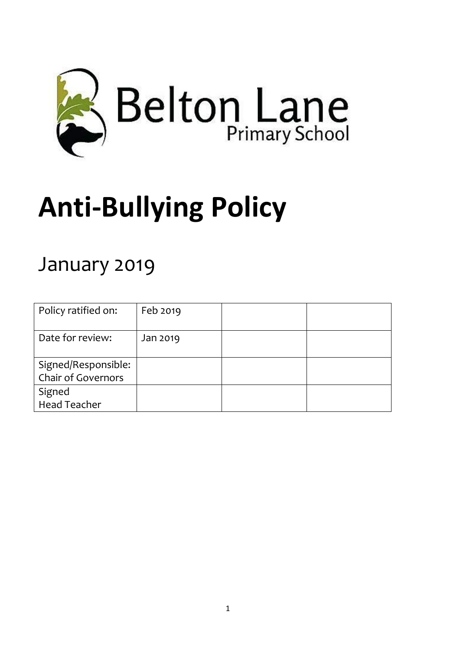

# **Anti-Bullying Policy**

# January 2019

| Policy ratified on:                              | Feb 2019 |  |
|--------------------------------------------------|----------|--|
| Date for review:                                 | Jan 2019 |  |
| Signed/Responsible:<br><b>Chair of Governors</b> |          |  |
| Signed<br><b>Head Teacher</b>                    |          |  |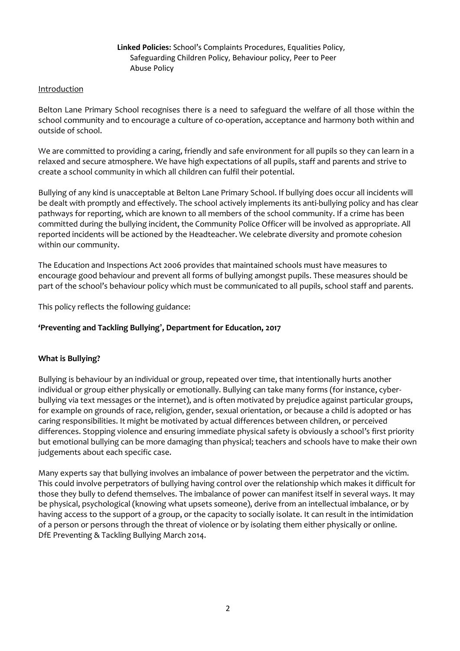#### **Linked Policies:** School's Complaints Procedures, Equalities Policy, Safeguarding Children Policy, Behaviour policy, Peer to Peer Abuse Policy

#### Introduction

Belton Lane Primary School recognises there is a need to safeguard the welfare of all those within the school community and to encourage a culture of co-operation, acceptance and harmony both within and outside of school.

We are committed to providing a caring, friendly and safe environment for all pupils so they can learn in a relaxed and secure atmosphere. We have high expectations of all pupils, staff and parents and strive to create a school community in which all children can fulfil their potential.

Bullying of any kind is unacceptable at Belton Lane Primary School. If bullying does occur all incidents will be dealt with promptly and effectively. The school actively implements its anti-bullying policy and has clear pathways for reporting, which are known to all members of the school community. If a crime has been committed during the bullying incident, the Community Police Officer will be involved as appropriate. All reported incidents will be actioned by the Headteacher. We celebrate diversity and promote cohesion within our community.

The Education and Inspections Act 2006 provides that maintained schools must have measures to encourage good behaviour and prevent all forms of bullying amongst pupils. These measures should be part of the school's behaviour policy which must be communicated to all pupils, school staff and parents.

This policy reflects the following guidance:

#### **'Preventing and Tackling Bullying', Department for Education, 2017**

#### **What is Bullying?**

Bullying is behaviour by an individual or group, repeated over time, that intentionally hurts another individual or group either physically or emotionally. Bullying can take many forms (for instance, cyberbullying via text messages or the internet), and is often motivated by prejudice against particular groups, for example on grounds of race, religion, gender, sexual orientation, or because a child is adopted or has caring responsibilities. It might be motivated by actual differences between children, or perceived differences. Stopping violence and ensuring immediate physical safety is obviously a school's first priority but emotional bullying can be more damaging than physical; teachers and schools have to make their own judgements about each specific case.

Many experts say that bullying involves an imbalance of power between the perpetrator and the victim. This could involve perpetrators of bullying having control over the relationship which makes it difficult for those they bully to defend themselves. The imbalance of power can manifest itself in several ways. It may be physical, psychological (knowing what upsets someone), derive from an intellectual imbalance, or by having access to the support of a group, or the capacity to socially isolate. It can result in the intimidation of a person or persons through the threat of violence or by isolating them either physically or online. DfE Preventing & Tackling Bullying March 2014.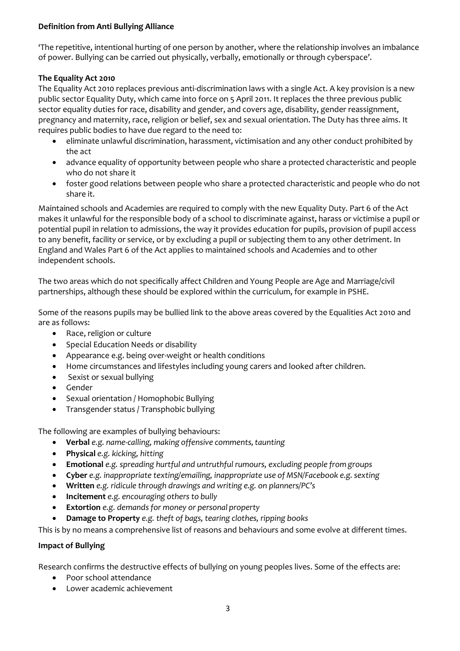# **Definition from Anti Bullying Alliance**

'The repetitive, intentional hurting of one person by another, where the relationship involves an imbalance of power. Bullying can be carried out physically, verbally, emotionally or through cyberspace'.

# **The Equality Act 2010**

The Equality Act 2010 replaces previous anti-discrimination laws with a single Act. A key provision is a new public sector Equality Duty, which came into force on 5 April 2011. It replaces the three previous public sector equality duties for race, disability and gender, and covers age, disability, gender reassignment, pregnancy and maternity, race, religion or belief, sex and sexual orientation. The Duty has three aims. It requires public bodies to have due regard to the need to:

- eliminate unlawful discrimination, harassment, victimisation and any other conduct prohibited by the act
- advance equality of opportunity between people who share a protected characteristic and people who do not share it
- foster good relations between people who share a protected characteristic and people who do not share it.

Maintained schools and Academies are required to comply with the new Equality Duty. Part 6 of the Act makes it unlawful for the responsible body of a school to discriminate against, harass or victimise a pupil or potential pupil in relation to admissions, the way it provides education for pupils, provision of pupil access to any benefit, facility or service, or by excluding a pupil or subjecting them to any other detriment. In England and Wales Part 6 of the Act applies to maintained schools and Academies and to other independent schools.

The two areas which do not specifically affect Children and Young People are Age and Marriage/civil partnerships, although these should be explored within the curriculum, for example in PSHE.

Some of the reasons pupils may be bullied link to the above areas covered by the Equalities Act 2010 and are as follows:

- Race, religion or culture
- Special Education Needs or disability
- Appearance e.g. being over-weight or health conditions
- Home circumstances and lifestyles including young carers and looked after children.
- Sexist or sexual bullying
- Gender
- Sexual orientation / Homophobic Bullying
- Transgender status / Transphobic bullying

The following are examples of bullying behaviours:

- **Verbal** *e.g. name-calling, making offensive comments,taunting*
- **Physical** *e.g. kicking, hitting*
- **Emotional** *e.g. spreading hurtful and untruthful rumours, excluding people from groups*
- **Cyber** *e.g.* inappropriate texting/emailing, inappropriate use of MSN/Facebook *e.g.* sexting
- **Written** *e.g. ridicule through drawings and writing e.g. on planners/PC's*
- **Incitement** *e.g. encouraging others to bully*
- **Extortion** *e.g. demands for money or personal property*
- **Damage to Property** *e.g. theft of bags, tearing clothes, ripping books*

This is by no means a comprehensive list of reasons and behaviours and some evolve at different times.

#### **Impact of Bullying**

Research confirms the destructive effects of bullying on young peoples lives. Some of the effects are:

- Poor school attendance
- Lower academic achievement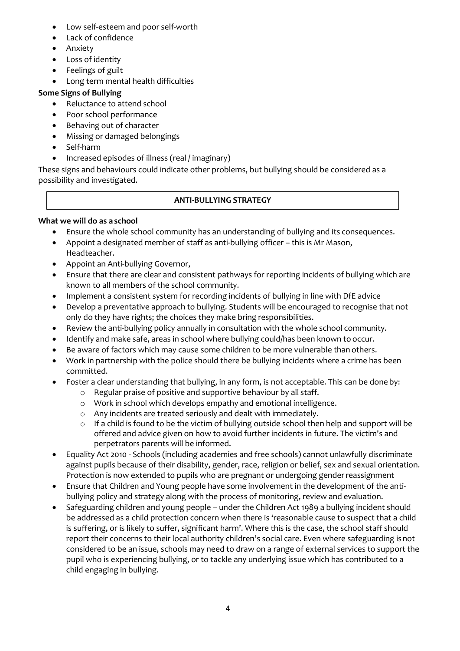- Low self-esteem and poor self-worth
- Lack of confidence
- Anxiety
- Loss of identity
- Feelings of guilt
- Long term mental health difficulties

# **Some Signs of Bullying**

- Reluctance to attend school
- Poor school performance
- Behaving out of character
- Missing or damaged belongings
- Self-harm
- Increased episodes of illness (real / imaginary)

These signs and behaviours could indicate other problems, but bullying should be considered as a possibility and investigated.

# **ANTI-BULLYING STRATEGY**

# **What we will do as a school**

- Ensure the whole school community has an understanding of bullying and its consequences.
- Appoint a designated member of staff as anti-bullying officer this is Mr Mason, Headteacher.
- Appoint an Anti-bullying Governor,
- Ensure that there are clear and consistent pathways for reporting incidents of bullying which are known to all members of the school community.
- Implement a consistent system for recording incidents of bullying in line with DfE advice
- Develop a preventative approach to bullying. Students will be encouraged to recognise that not only do they have rights; the choices they make bring responsibilities.
- Review the anti-bullying policy annually in consultation with the whole school community.
- Identify and make safe, areas in school where bullying could/has been known to occur.
- Be aware of factors which may cause some children to be more vulnerable than others.
- Work in partnership with the police should there be bullying incidents where a crime has been committed.
- Foster a clear understanding that bullying, in any form, is not acceptable. This can be done by:
	- o Regular praise of positive and supportive behaviour by all staff.
	- o Work in school which develops empathy and emotional intelligence.
	- o Any incidents are treated seriously and dealt with immediately.
	- $\circ$  If a child is found to be the victim of bullying outside school then help and support will be offered and advice given on how to avoid further incidents in future. The victim's and perpetrators parents will be informed.
- Equality Act 2010 Schools (including academies and free schools) cannot unlawfully discriminate against pupils because of their disability, gender, race, religion or belief, sex and sexual orientation. Protection is now extended to pupils who are pregnant or undergoing genderreassignment
- Ensure that Children and Young people have some involvement in the development of the antibullying policy and strategy along with the process of monitoring, review and evaluation.
- Safeguarding children and young people under the Children Act 1989 a bullying incident should be addressed as a child protection concern when there is 'reasonable cause to suspect that a child is suffering, or is likely to suffer, significant harm'. Where this is the case, the school staff should report their concerns to their local authority children's social care. Even where safeguarding isnot considered to be an issue, schools may need to draw on a range of external services to support the pupil who is experiencing bullying, or to tackle any underlying issue which has contributed to a child engaging in bullying.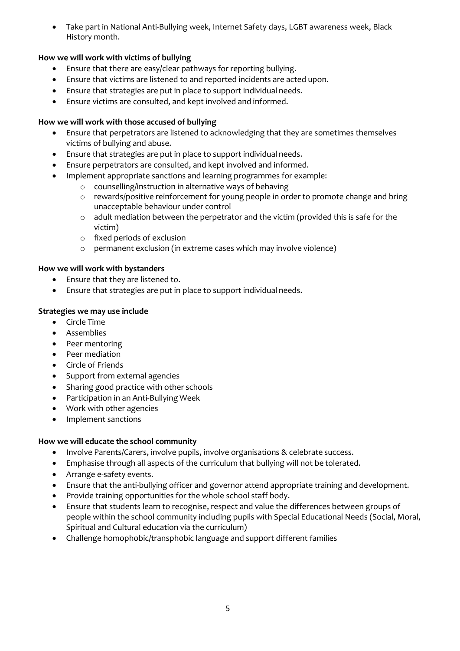Take part in National Anti-Bullying week, Internet Safety days, LGBT awareness week, Black History month.

# **How we will work with victims of bullying**

- Ensure that there are easy/clear pathways for reporting bullying.
- Ensure that victims are listened to and reported incidents are acted upon.
- Ensure that strategies are put in place to support individual needs.
- Ensure victims are consulted, and kept involved and informed.

#### **How we will work with those accused of bullying**

- Ensure that perpetrators are listened to acknowledging that they are sometimes themselves victims of bullying and abuse.
- Ensure that strategies are put in place to support individual needs.
- Ensure perpetrators are consulted, and kept involved and informed.
- Implement appropriate sanctions and learning programmes for example:
	- o counselling/instruction in alternative ways of behaving
	- o rewards/positive reinforcement for young people in order to promote change and bring unacceptable behaviour under control
	- $\circ$  adult mediation between the perpetrator and the victim (provided this is safe for the victim)
	- o fixed periods of exclusion
	- o permanent exclusion (in extreme cases which may involve violence)

#### **How we will work with bystanders**

- Ensure that they are listened to.
- Ensure that strategies are put in place to support individual needs.

# **Strategies we may use include**

- Circle Time
- Assemblies
- Peer mentoring
- Peer mediation
- Circle of Friends
- Support from external agencies
- Sharing good practice with other schools
- Participation in an Anti-Bullying Week
- Work with other agencies
- Implement sanctions

#### **How we will educate the school community**

- Involve Parents/Carers, involve pupils, involve organisations & celebrate success.
- Emphasise through all aspects of the curriculum that bullying will not be tolerated.
- Arrange e-safety events.
- Ensure that the anti-bullying officer and governor attend appropriate training and development.
- Provide training opportunities for the whole school staff body.
- Ensure that students learn to recognise, respect and value the differences between groups of people within the school community including pupils with Special Educational Needs (Social, Moral, Spiritual and Cultural education via the curriculum)
- Challenge homophobic/transphobic language and support different families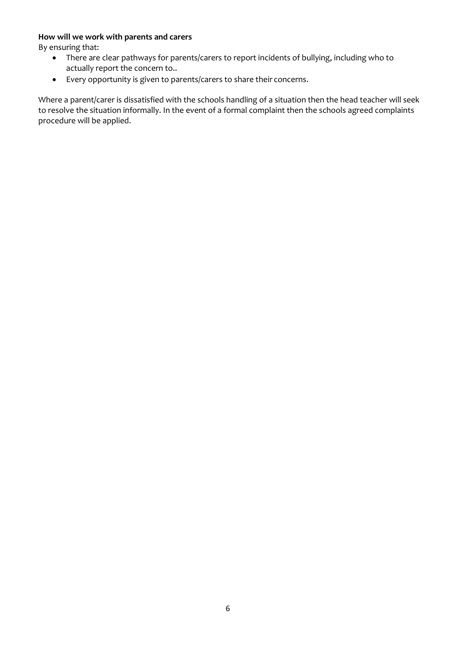#### **How will we work with parents and carers**

By ensuring that:

- There are clear pathways for parents/carers to report incidents of bullying, including who to actually report the concern to..
- Every opportunity is given to parents/carers to share their concerns.

Where a parent/carer is dissatisfied with the schools handling of a situation then the head teacher will seek to resolve the situation informally. In the event of a formal complaint then the schools agreed complaints procedure will be applied.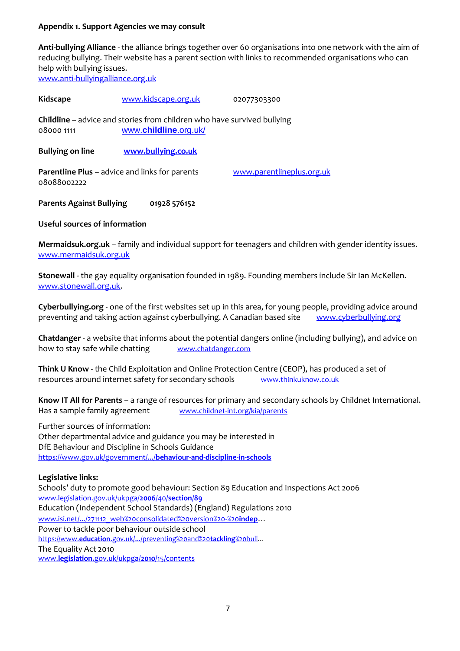#### **Appendix 1. Support Agencies we may consult**

**Anti-bullying Alliance** - the alliance brings together over 60 organisations into one network with the aim of reducing bullying. Their website has a parent section with links to recommended organisations who can help with bullying issues. [www.anti-bullyingalliance.org.uk](http://www.anti-bullyingalliance.org.uk/)

Kidscape [www.kidscape.org.uk](http://www.kidscape.org.uk/) 02077303300 **Childline** – advice and stories from children who have survived bullying 08000 1111 www.**[childline](http://www.childline.org.uk/)**.org.uk/ **Bullying on line [www.bullying.co.uk](http://www.bullying.co.uk/) Parentline Plus** – advice and links for parents [www.parentlineplus.org.uk](http://www.parentlineplus.org.uk/) 08088002222

**Parents Against Bullying 01928 576152**

**Useful sources of information**

**Mermaidsuk.org.uk** – family and individual support for teenagers and children with gender identity issues. [www.mermaidsuk.org.uk](http://www.mermaidsuk.org.uk/)

**Stonewall** - the gay equality organisation founded in 1989. Founding members include Sir Ian McKellen. [www.stonewall.org.uk.](http://www.stonewall.org.uk/)

**Cyberbullying.org** - one of the first websites set up in this area, for young people, providing advice around preventing and taking action against cyberbullying. A Canadian based site [www.cyberbullying.org](http://www.cyberbullying.org/)

**Chatdanger** - a website that informs about the potential dangers online (including bullying), and advice on how to stay safe while chatting [www.chatdanger.com](http://www.chatdanger.com/)

**Think U Know** - the Child Exploitation and Online Protection Centre (CEOP), has produced a set of resources around internet safety for secondary schools [www.thinkuknow.co.uk](http://www.thinkuknow.co.uk/)

**Know IT All for Parents** – a range of resources for primary and secondary schools by Childnet International. Has a sample family agreement [www.childnet-int.org/kia/parents](http://www.childnet-int.org/kia/parents)

Further sources of information: Other departmental advice and guidance you may be interested in DfE Behaviour and Discipline in Schools Guidance [https://www.gov.uk/government/.../](https://www.gov.uk/government/.../behaviour-and-discipline-in-schools)**behaviour-and-discipline-in-schools**

#### **Legislative links:**

Schools' duty to promote good behaviour: Section 89 Education and Inspections Act 2006 [www.legislation.gov.uk/ukpga/](http://www.legislation.gov.uk/ukpga/2006/40/section/89)**2006**/40/**section**/**89** Education (Independent School Standards) (England) Regulations 2010 [www.isi.net/.../271112\\_web%20consolidated%20version%20-%20](http://www.isi.net/.../271112_web%20consolidated%20version%20-%20indep)**indep**... Power to tackle poor behaviour outside school https://www.**education**[.gov.uk/.../preventing%20and%20](https://www.education.gov.uk/.../preventing%20and%20tackling%20bull)**tackling**%20bull*...* The Equality Act 2010 www.**legislation**[.gov.uk/ukpga/](http://www.legislation.gov.uk/ukpga/2010/15/contents)**2010**/15/contents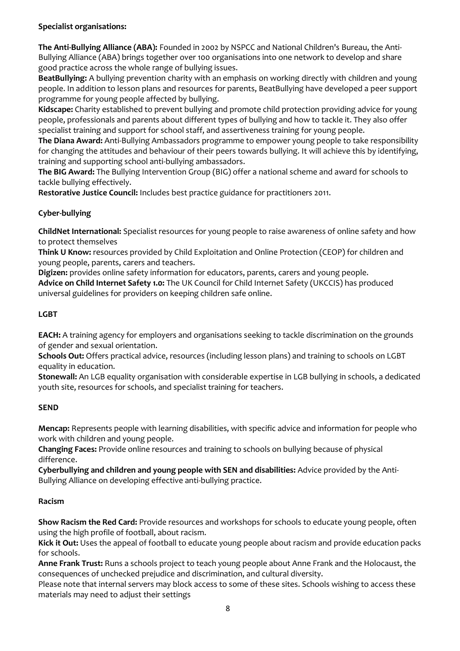# **Specialist organisations:**

**The Anti-Bullying Alliance (ABA):** Founded in 2002 by NSPCC and National Children's Bureau, the Anti-Bullying Alliance (ABA) brings together over 100 organisations into one network to develop and share good practice across the whole range of bullying issues.

**BeatBullying:** A bullying prevention charity with an emphasis on working directly with children and young people. In addition to lesson plans and resources for parents, BeatBullying have developed a peer support programme for young people affected by bullying.

**Kidscape:** Charity established to prevent bullying and promote child protection providing advice for young people, professionals and parents about different types of bullying and how to tackle it. They also offer specialist training and support for school staff, and assertiveness training for young people.

**The Diana Award:** Anti-Bullying Ambassadors programme to empower young people to take responsibility for changing the attitudes and behaviour of their peers towards bullying. It will achieve this by identifying, training and supporting school anti-bullying ambassadors.

**The BIG Award:** The Bullying Intervention Group (BIG) offer a national scheme and award for schools to tackle bullying effectively.

**Restorative Justice Council:** Includes best practice guidance for practitioners 2011.

# **Cyber-bullying**

**ChildNet International:** Specialist resources for young people to raise awareness of online safety and how to protect themselves

**Think U Know:** resources provided by Child Exploitation and Online Protection (CEOP) for children and young people, parents, carers and teachers.

**Digizen:** provides online safety information for educators, parents, carers and young people. **Advice on Child Internet Safety 1.0:** The UK Council for Child Internet Safety (UKCCIS) has produced universal guidelines for providers on keeping children safe online.

# **LGBT**

**EACH:** A training agency for employers and organisations seeking to tackle discrimination on the grounds of gender and sexual orientation.

**Schools Out:** Offers practical advice, resources (including lesson plans) and training to schools on LGBT equality in education.

**Stonewall:** An LGB equality organisation with considerable expertise in LGB bullying in schools, a dedicated youth site, resources for schools, and specialist training for teachers.

#### **SEND**

**Mencap:** Represents people with learning disabilities, with specific advice and information for people who work with children and young people.

**Changing Faces:** Provide online resources and training to schools on bullying because of physical difference.

**Cyberbullying and children and young people with SEN and disabilities:** Advice provided by the Anti-Bullying Alliance on developing effective anti-bullying practice.

# **Racism**

**Show Racism the Red Card:** Provide resources and workshops for schools to educate young people, often using the high profile of football, about racism.

**Kick it Out:** Uses the appeal of football to educate young people about racism and provide education packs for schools.

**Anne Frank Trust:** Runs a schools project to teach young people about Anne Frank and the Holocaust, the consequences of unchecked prejudice and discrimination, and cultural diversity.

Please note that internal servers may block access to some of these sites. Schools wishing to access these materials may need to adjust their settings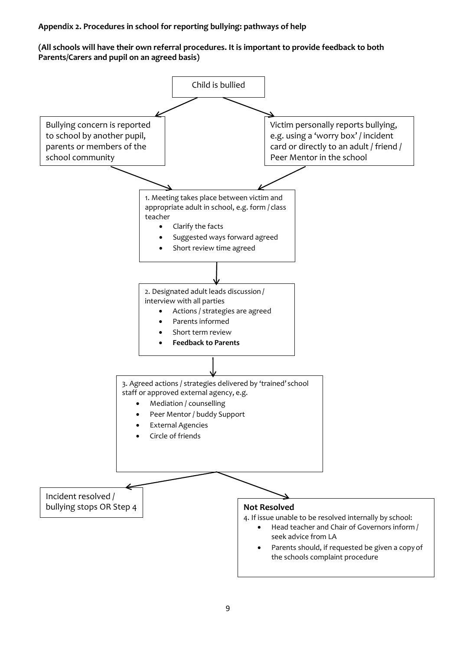#### **Appendix 2. Procedures in school for reporting bullying: pathways of help**

#### **(All schools will have their own referral procedures. It is important to provide feedback to both Parents/Carers and pupil on an agreed basis)**

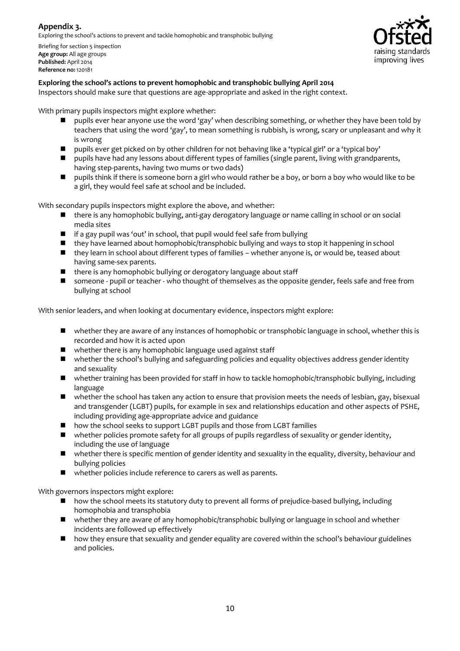# **Appendix 3.**

Exploring the school's actions to prevent and tackle homophobic and transphobic bullying

Briefing for section 5 inspection **Age group:** All age groups **Published:** April 2014 **Reference no:** 120181



#### **Exploring the school's actions to prevent homophobic and transphobic bullying April 2014**

Inspectors should make sure that questions are age-appropriate and asked in the right context.

With primary pupils inspectors might explore whether:

- **P** pupils ever hear anyone use the word 'gay' when describing something, or whether they have been told by teachers that using the word 'gay', to mean something is rubbish, is wrong, scary or unpleasant and why it is wrong
- pupils ever get picked on by other children for not behaving like a 'typical girl' or a 'typical boy'
- **P** pupils have had any lessons about different types of families (single parent, living with grandparents, having step-parents, having two mums or two dads)
- **P** pupils think if there is someone born a girl who would rather be a boy, or born a boy who would like to be a girl, they would feel safe at school and be included.

With secondary pupils inspectors might explore the above, and whether:

- there is any homophobic bullying, anti-gay derogatory language or name calling in school or on social media sites
- $\blacksquare$  if a gay pupil was 'out' in school, that pupil would feel safe from bullying
- they have learned about homophobic/transphobic bullying and ways to stop it happening in school
- they learn in school about different types of families whether anyone is, or would be, teased about having same-sex parents.
- $\blacksquare$  there is any homophobic bullying or derogatory language about staff
- **If** someone pupil or teacher who thought of themselves as the opposite gender, feels safe and free from bullying at school

With senior leaders, and when looking at documentary evidence, inspectors might explore:

- whether they are aware of any instances of homophobic or transphobic language in school, whether this is recorded and how it is acted upon
- whether there is any homophobic language used against staff
- whether the school's bullying and safeguarding policies and equality objectives address gender identity and sexuality
- whether training has been provided for staff in how to tackle homophobic/transphobic bullying, including language
- whether the school has taken any action to ensure that provision meets the needs of lesbian, gay, bisexual and transgender (LGBT) pupils, for example in sex and relationships education and other aspects of PSHE, including providing age-appropriate advice and guidance
- how the school seeks to support LGBT pupils and those from LGBT families
- whether policies promote safety for all groups of pupils regardless of sexuality or gender identity, including the use of language
- whether there is specific mention of gender identity and sexuality in the equality, diversity, behaviour and bullying policies
- whether policies include reference to carers as well as parents.

With governors inspectors might explore:

- how the school meets its statutory duty to prevent all forms of prejudice-based bullying, including homophobia and transphobia
- whether they are aware of any homophobic/transphobic bullying or language in school and whether incidents are followed up effectively
- how they ensure that sexuality and gender equality are covered within the school's behaviour guidelines and policies.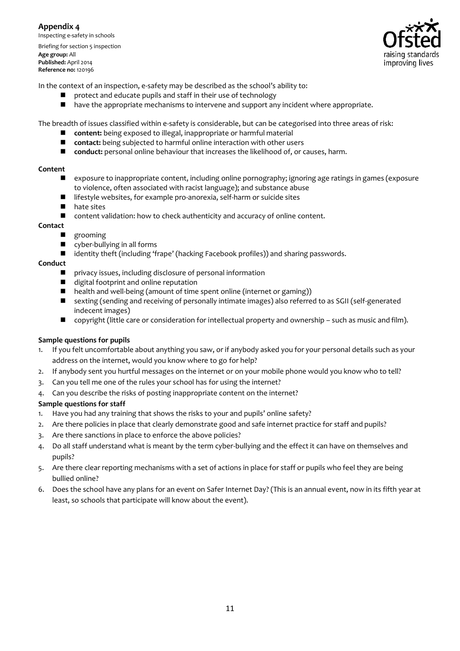**Appendix 4** Inspecting e-safety in schools Briefing for section 5 inspection **Age group:** All **Published:** April 2014 **Reference no:** 120196



In the context of an inspection, e-safety may be described as the school's ability to:

- protect and educate pupils and staff in their use of technology
- $\blacksquare$  have the appropriate mechanisms to intervene and support any incident where appropriate.

The breadth of issues classified within e-safety is considerable, but can be categorised into three areas of risk:

- **content:** being exposed to illegal, inappropriate or harmful material
- **contact:** being subjected to harmful online interaction with other users
- **Conduct:** personal online behaviour that increases the likelihood of, or causes, harm.

#### **Content**

- exposure to inappropriate content, including online pornography; ignoring age ratings in games (exposure to violence, often associated with racist language); and substance abuse
- lifestyle websites, for example pro-anorexia, self-harm or suicide sites<br>■ hate sites
- $\blacksquare$  hate sites
- content validation: how to check authenticity and accuracy of online content.

#### **Contact**

- grooming
- **u** cyber-bullying in all forms
- identity theft (including 'frape' (hacking Facebook profiles)) and sharing passwords.

#### **Conduct**

- privacy issues, including disclosure of personal information
- $\blacksquare$  digital footprint and online reputation<br> $\blacksquare$  health and well-being (amount of time
- health and well-being (amount of time spent online (internet or gaming))
- sexting (sending and receiving of personally intimate images) also referred to as SGII (self-generated indecent images)
- copyright (little care or consideration for intellectual property and ownership such as music and film).

#### **Sample questions for pupils**

- 1. If you felt uncomfortable about anything you saw, or if anybody asked you for your personal details such as your address on the internet, would you know where to go for help?
- 2. If anybody sent you hurtful messages on the internet or on your mobile phone would you know who to tell?
- 3. Can you tell me one of the rules your school has for using the internet?
- 4. Can you describe the risks of posting inappropriate content on the internet?

#### **Sample questions for staff**

- 1. Have you had any training that shows the risks to your and pupils' online safety?
- 2. Are there policies in place that clearly demonstrate good and safe internet practice for staff and pupils?
- 3. Are there sanctions in place to enforce the above policies?
- 4. Do all staff understand what is meant by the term cyber-bullying and the effect it can have on themselves and pupils?
- 5. Are there clear reporting mechanisms with a set of actions in place for staff or pupils who feel they are being bullied online?
- 6. Does the school have any plans for an event on Safer Internet Day? (This is an annual event, now in its fifth year at least, so schools that participate will know about the event).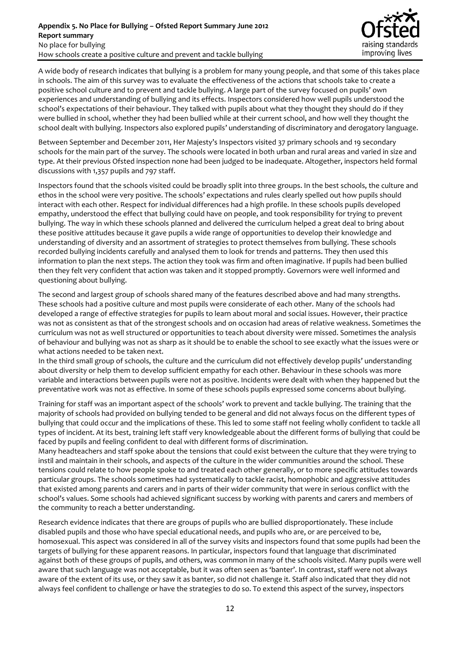

A wide body of research indicates that bullying is a problem for many young people, and that some of this takes place in schools. The aim of this survey was to evaluate the effectiveness of the actions that schools take to create a positive school culture and to prevent and tackle bullying. A large part of the survey focused on pupils' own experiences and understanding of bullying and its effects. Inspectors considered how well pupils understood the school's expectations of their behaviour. They talked with pupils about what they thought they should do if they were bullied in school, whether they had been bullied while at their current school, and how well they thought the school dealt with bullying. Inspectors also explored pupils' understanding of discriminatory and derogatory language.

Between September and December 2011, Her Majesty's Inspectors visited 37 primary schools and 19 secondary schools for the main part of the survey. The schools were located in both urban and rural areas and varied in size and type. At their previous Ofsted inspection none had been judged to be inadequate. Altogether, inspectors held formal discussions with 1,357 pupils and 797 staff.

Inspectors found that the schools visited could be broadly split into three groups. In the best schools, the culture and ethos in the school were very positive. The schools' expectations and rules clearly spelled out how pupils should interact with each other. Respect for individual differences had a high profile. In these schools pupils developed empathy, understood the effect that bullying could have on people, and took responsibility for trying to prevent bullying. The way in which these schools planned and delivered the curriculum helped a great deal to bring about these positive attitudes because it gave pupils a wide range of opportunities to develop their knowledge and understanding of diversity and an assortment of strategies to protect themselves from bullying. These schools recorded bullying incidents carefully and analysed them to look for trends and patterns. They then used this information to plan the next steps. The action they took was firm and often imaginative. If pupils had been bullied then they felt very confident that action was taken and it stopped promptly. Governors were well informed and questioning about bullying.

The second and largest group of schools shared many of the features described above and had many strengths. These schools had a positive culture and most pupils were considerate of each other. Many of the schools had developed a range of effective strategies for pupils to learn about moral and social issues. However, their practice was not as consistent as that of the strongest schools and on occasion had areas of relative weakness. Sometimes the curriculum was not as well structured or opportunities to teach about diversity were missed. Sometimes the analysis of behaviour and bullying was not as sharp as it should be to enable the school to see exactly what the issues were or what actions needed to be taken next.

In the third small group of schools, the culture and the curriculum did not effectively develop pupils' understanding about diversity or help them to develop sufficient empathy for each other. Behaviour in these schools was more variable and interactions between pupils were not as positive. Incidents were dealt with when they happened but the preventative work was not as effective. In some of these schools pupils expressed some concerns about bullying.

Training for staff was an important aspect of the schools' work to prevent and tackle bullying. The training that the majority of schools had provided on bullying tended to be general and did not always focus on the different types of bullying that could occur and the implications of these. This led to some staff not feeling wholly confident to tackle all types of incident. At its best, training left staff very knowledgeable about the different forms of bullying that could be faced by pupils and feeling confident to deal with different forms of discrimination.

Many headteachers and staff spoke about the tensions that could exist between the culture that they were trying to instil and maintain in their schools, and aspects of the culture in the wider communities around the school. These tensions could relate to how people spoke to and treated each other generally, or to more specific attitudes towards particular groups. The schools sometimes had systematically to tackle racist, homophobic and aggressive attitudes that existed among parents and carers and in parts of their wider community that were in serious conflict with the school's values. Some schools had achieved significant success by working with parents and carers and members of the community to reach a better understanding.

Research evidence indicates that there are groups of pupils who are bullied disproportionately. These include disabled pupils and those who have special educational needs, and pupils who are, or are perceived to be, homosexual. This aspect was considered in all of the survey visits and inspectors found that some pupils had been the targets of bullying for these apparent reasons. In particular, inspectors found that language that discriminated against both of these groups of pupils, and others, was common in many of the schools visited. Many pupils were well aware that such language was not acceptable, but it was often seen as 'banter'. In contrast, staff were not always aware of the extent of its use, or they saw it as banter, so did not challenge it. Staff also indicated that they did not always feel confident to challenge or have the strategies to do so. To extend this aspect of the survey, inspectors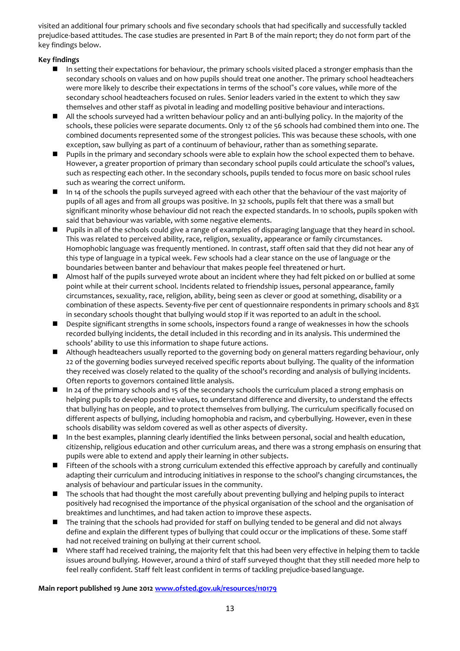visited an additional four primary schools and five secondary schools that had specifically and successfully tackled prejudice-based attitudes. The case studies are presented in Part B of the main report; they do not form part of the key findings below.

#### **Key findings**

- In setting their expectations for behaviour, the primary schools visited placed a stronger emphasis than the secondary schools on values and on how pupils should treat one another. The primary school headteachers were more likely to describe their expectations in terms of the school"s core values, while more of the secondary school headteachers focused on rules. Senior leaders varied in the extent to which they saw themselves and other staff as pivotal in leading and modelling positive behaviour and interactions.
- All the schools surveyed had a written behaviour policy and an anti-bullying policy. In the majority of the schools, these policies were separate documents. Only 12 of the 56 schools had combined them into one. The combined documents represented some of the strongest policies. This was because these schools, with one exception, saw bullying as part of a continuum of behaviour, rather than as something separate.
- Pupils in the primary and secondary schools were able to explain how the school expected them to behave. However, a greater proportion of primary than secondary school pupils could articulate the school's values, such as respecting each other. In the secondary schools, pupils tended to focus more on basic school rules such as wearing the correct uniform.
- In 14 of the schools the pupils surveyed agreed with each other that the behaviour of the vast majority of pupils of all ages and from all groups was positive. In 32 schools, pupils felt that there was a small but significant minority whose behaviour did not reach the expected standards. In 10 schools, pupils spoken with said that behaviour was variable, with some negative elements.
- **Pupils in all of the schools could give a range of examples of disparaging language that they heard in school.** This was related to perceived ability, race, religion, sexuality, appearance or family circumstances. Homophobic language was frequently mentioned. In contrast, staff often said that they did not hear any of this type of language in a typical week. Few schools had a clear stance on the use of language or the boundaries between banter and behaviour that makes people feel threatened or hurt.
- Almost half of the pupils surveyed wrote about an incident where they had felt picked on or bullied at some point while at their current school. Incidents related to friendship issues, personal appearance, family circumstances, sexuality, race, religion, ability, being seen as clever or good at something, disability or a combination of these aspects. Seventy-five per cent of questionnaire respondents in primary schools and 83% in secondary schools thought that bullying would stop if it was reported to an adult in the school.
- Despite significant strengths in some schools, inspectors found a range of weaknesses in how the schools recorded bullying incidents, the detail included in this recording and in its analysis. This undermined the schools' ability to use this information to shape future actions.
- Although headteachers usually reported to the governing body on general matters regarding behaviour, only 22 of the governing bodies surveyed received specific reports about bullying. The quality of the information they received was closely related to the quality of the school's recording and analysis of bullying incidents. Often reports to governors contained little analysis.
- In 24 of the primary schools and 15 of the secondary schools the curriculum placed a strong emphasis on helping pupils to develop positive values, to understand difference and diversity, to understand the effects that bullying has on people, and to protect themselves from bullying. The curriculum specifically focused on different aspects of bullying, including homophobia and racism, and cyberbullying. However, even in these schools disability was seldom covered as well as other aspects of diversity.
- In the best examples, planning clearly identified the links between personal, social and health education, citizenship, religious education and other curriculum areas, and there was a strong emphasis on ensuring that pupils were able to extend and apply their learning in other subjects.
- Fifteen of the schools with a strong curriculum extended this effective approach by carefully and continually adapting their curriculum and introducing initiatives in response to the school's changing circumstances, the analysis of behaviour and particular issues in the community.
- The schools that had thought the most carefully about preventing bullying and helping pupils to interact positively had recognised the importance of the physical organisation of the school and the organisation of breaktimes and lunchtimes, and had taken action to improve these aspects.
- The training that the schools had provided for staff on bullying tended to be general and did not always define and explain the different types of bullying that could occur or the implications of these. Some staff had not received training on bullying at their current school.
- Where staff had received training, the majority felt that this had been very effective in helping them to tackle issues around bullying. However, around a third of staff surveyed thought that they still needed more help to feel really confident. Staff felt least confident in terms of tackling prejudice-based language.

#### **Main report published 19 June 201[2 www.ofsted.gov.uk/resources/110179](http://www.ofsted.gov.uk/resources/110179)**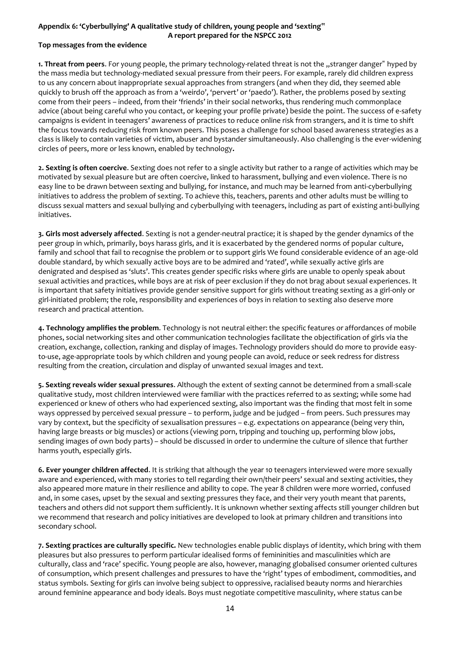#### **Appendix 6: 'Cyberbullying' A qualitative study of children, young people and 'sexting" A report prepared for the NSPCC 2012**

#### **Top messages from the evidence**

1. Threat from peers. For young people, the primary technology-related threat is not the "stranger danger" hyped by the mass media but technology-mediated sexual pressure from their peers. For example, rarely did children express to us any concern about inappropriate sexual approaches from strangers (and when they did, they seemed able quickly to brush off the approach as from a 'weirdo', 'pervert' or 'paedo'). Rather, the problems posed by sexting come from their peers – indeed, from their 'friends' in their social networks, thus rendering much commonplace advice (about being careful who you contact, or keeping your profile private) beside the point. The success of e-safety campaigns is evident in teenagers' awareness of practices to reduce online risk from strangers, and it is time to shift the focus towards reducing risk from known peers. This poses a challenge for school based awareness strategies as a class is likely to contain varieties of victim, abuser and bystander simultaneously. Also challenging is the ever-widening circles of peers, more or less known, enabled by technology**.**

**2. Sexting is often coercive**. Sexting does not refer to a single activity but rather to a range of activities which may be motivated by sexual pleasure but are often coercive, linked to harassment, bullying and even violence. There is no easy line to be drawn between sexting and bullying, for instance, and much may be learned from anti-cyberbullying initiatives to address the problem of sexting. To achieve this, teachers, parents and other adults must be willing to discuss sexual matters and sexual bullying and cyberbullying with teenagers, including as part of existing anti-bullying initiatives.

**3. Girls most adversely affected**. Sexting is not a gender-neutral practice; it is shaped by the gender dynamics of the peer group in which, primarily, boys harass girls, and it is exacerbated by the gendered norms of popular culture, family and school that fail to recognise the problem or to support girls We found considerable evidence of an age-old double standard, by which sexually active boys are to be admired and 'rated', while sexually active girls are denigrated and despised as 'sluts'. This creates gender specific risks where girls are unable to openly speak about sexual activities and practices, while boys are at risk of peer exclusion if they do not brag about sexual experiences. It is important that safety initiatives provide gender sensitive support for girls without treating sexting as a girl-only or girl-initiated problem; the role, responsibility and experiences of boys in relation to sexting also deserve more research and practical attention.

**4. Technology amplifies the problem**. Technology is not neutral either: the specific features or affordances of mobile phones, social networking sites and other communication technologies facilitate the objectification of girls via the creation, exchange, collection, ranking and display of images. Technology providers should do more to provide easyto-use, age-appropriate tools by which children and young people can avoid, reduce or seek redress for distress resulting from the creation, circulation and display of unwanted sexual images and text.

**5. Sexting reveals wider sexual pressures**. Although the extent of sexting cannot be determined from a small-scale qualitative study, most children interviewed were familiar with the practices referred to as sexting; while some had experienced or knew of others who had experienced sexting, also important was the finding that most felt in some ways oppressed by perceived sexual pressure – to perform, judge and be judged – from peers. Such pressures may vary by context, but the specificity of sexualisation pressures – e.g. expectations on appearance (being very thin, having large breasts or big muscles) or actions (viewing porn, tripping and touching up, performing blow jobs, sending images of own body parts) – should be discussed in order to undermine the culture of silence that further harms youth, especially girls.

**6. Ever younger children affected**. It is striking that although the year 10 teenagers interviewed were more sexually aware and experienced, with many stories to tell regarding their own/their peers' sexual and sexting activities, they also appeared more mature in their resilience and ability to cope. The year 8 children were more worried, confused and, in some cases, upset by the sexual and sexting pressures they face, and their very youth meant that parents, teachers and others did not support them sufficiently. It is unknown whether sexting affects still younger children but we recommend that research and policy initiatives are developed to look at primary children and transitions into secondary school.

**7. Sexting practices are culturally specific.** New technologies enable public displays of identity, which bring with them pleasures but also pressures to perform particular idealised forms of femininities and masculinities which are culturally, class and 'race' specific. Young people are also, however, managing globalised consumer oriented cultures of consumption, which present challenges and pressures to have the 'right' types of embodiment, commodities, and status symbols. Sexting for girls can involve being subject to oppressive, racialised beauty norms and hierarchies around feminine appearance and body ideals. Boys must negotiate competitive masculinity, where status can be